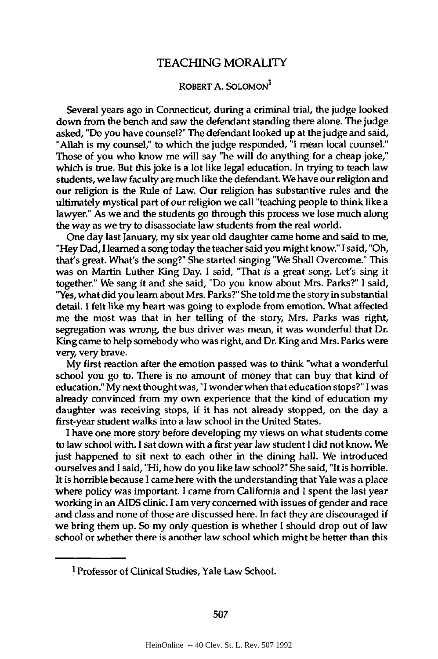## TEACHING MORALITY

## ROBERT **A. SOLOMON1**

Several years ago in Connecticut, during a criminal trial, the judge looked down from the bench and saw the defendant standing there alone. The judge asked, "Do you have counsel?" The defendant looked up at the judge and said, "Allah is my counsel," to which the judge responded, **"I** mean local counsel." Those of you who know me will say "he will do anything for a cheap joke," which is true. But this joke is a lot like legal education. In trying to teach law students, we law faculty are much like the defendant. We have our religion and our religion is the Rule of Law. Our religion has substantive rules and the ultimately mystical part of our religion we call "teaching people to think like a lawyer." As we and the students go through this process we lose much along the way as we try to disassociate law students from the real world.

One day last January, my six year old daughter came home and said to me, "Hey Dad, **I** learned a song today the teacher said you **might** know." **I** said, "Oh, that's great. What's the song?" She started singing "We Shall Overcome." This was on Martin Luther King Day. **I** said, "That *is* a great song. Let's sing it together." We sang it and she said, "Do you know about Mrs. Parks?" **I** said, ' Yes, what did you learn about Mrs. Parks?" She told me the story in substantial detail. **I** felt like my heart was going to explode from emotion. What affected me the most was that in her telling of the story, Mrs. Parks was right, segregation was wrong, the bus driver was mean, it was wonderful that Dr. King came to help somebody who was right, and Dr. King and Mrs. Parks were very very brave.

**My** first reaction after the emotion passed was to think "what a wonderful school you go to. There is no amount of money that can buy that kind of education." **My** next thought was, **"I** wonder when that education stops?" **I** was already convinced from my own experience that the kind of education my daughter was receiving stops, if it has not already stopped, on the day a first-year student walks into a law school in the United States.

**I** have one more story before developing my views on what students come to law school with. **I** sat down with a first year law student **I** did not know. We just happened to sit next to each other in the dining hall. We introduced ourselves and **I** said, "Hi, how do you like law school?" She said, "It is horrible. It is horrible because I came here with the understanding that Yale was a place where policy was important. **I** came from California and I spent the last year working in an AIDS clinic. **I** am very concerned with issues of gender and race and class and none of those are discussed here. In fact they are discouraged if we bring them up. So my only question is whether I should drop out of law school or whether there is another law school which might be better than this

**I Professor** of Clinical Studies, Yale Law School.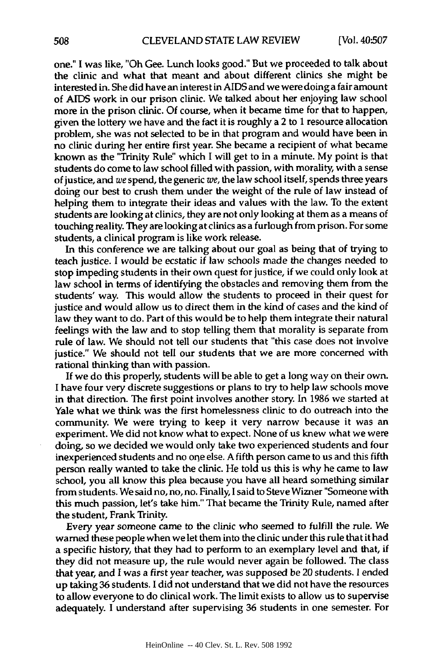one." I was like, "Oh Gee. Lunch looks good." But we proceeded to talk about the clinic and what that meant and about different clinics she might be interested in. She did have an interest in **AIDS** and we were doing a fair amount of **AIDS** work in our prison clinic. We talked about her enjoying law school more in the prison clinic. **Of** course, when it became time for that to happen, given the lottery we have and **the** fact it is roughly a 2 to **1** resource allocation problem, she was not selected to be in that program and would have been in no clinic during her entire first year. She became a recipient of what became known as the "Trinity Rule" which I will get to in a minute. **My** point is that students do come to law school filled with passion, with morality, with a sense of justice, and we spend, the generic we, the law school itself, spends three years doing our best to crush them under the weight of the rule of law instead of helping them to integrate their ideas and values with the law. To the extent students are looking at clinics, they are not only looking at them as a means of touching reality. They are looking at clinics as a furlough **from** prison. For some students, a clinical program is like work release.

In this conference we are talking about our goal as being that of trying to teach justice. **I** would be ecstatic if law schools made the changes needed to stop impeding students in their own quest for justice, if we could only look at law school in terms of identifying the obstacles and removing them from the students' way. This would allow the students to proceed in their quest for justice and would allow us to direct them in the kind of cases and the kind of law they want to do. Part of this would be to help them integrate their natural feelings with the law and to stop telling them that morality is separate from rule of law. We should not tell our students that "this case does not involve justice." We should not tell our students that we are more concerned with rational thinking than with passion.

If we do this properly, students will be able to get a long way on their own. I have four very discrete suggestions or plans to try to help law schools move in that direction. The first point involves another story. In **1986** we started at Yale what we think was the first homelessness clinic to do outreach into the community. We were trying to keep it very narrow because it was an experiment. We did not know what to expect. None of us knew what we were doing, so we decided we would only take two experienced students and four inexperienced students and no one else. **A** fifth person came to us and this fifth person really wanted to take the clinic. He told us this is why he came to law school, you all know this plea because you have all heard something similar from students. We said no, no, no. Finally, I said to Steve Wizner "Someone with this much passion, let's take him." That became the Trinity Rule, named after the student, Frank Trinity.

Every year someone came to the clinic who seemed to fulfill the rule. We warned these people when we let them into the clinic under this rule that it had a specific history, that they had to perform to an exemplary level and that, if they did not measure up, the rule would never again be followed. The class that year, and **I** was a first year teacher, was supposed be 20 students. **I** ended up taking **36** students. **I** did not understand that we did not have the resources to allow everyone to do clinical work. The limit exists to allow us to supervise adequately. **I** understand after supervising **36** students in one semester. For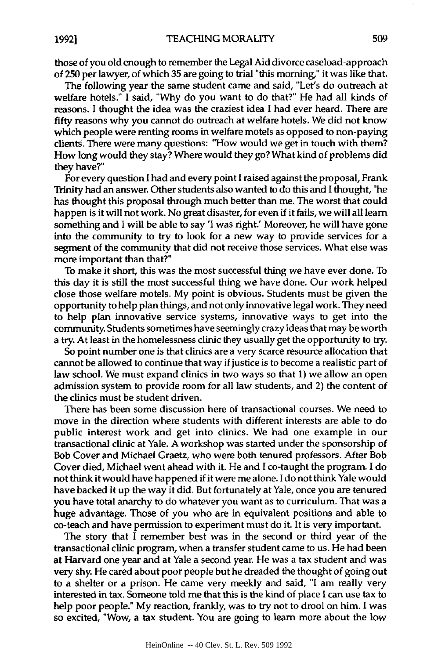those of you old enough to remember the Legal Aid divorce caseload-approach of **250** per lawyer, of which **35** are going to trial "this morning," it was like that.

The following year the same student came and said, "Let's do outreach at welfare hotels." **I** said, **"Why** do you want to do that?" He had all kinds of reasons. **I** thought the idea was the craziest idea **I** had ever heard. There are fifty reasons why you cannot do outreach at welfare hotels. We did not know which people were renting rooms in welfare motels as opposed to non-paying clients. There were many questions: "How would we get in touch with them? How long would they stay? Where would they go? What kind of problems did they have?"

For every question I had and every point I raised against the proposal, Frank Trinity had an answer. Other students also wanted to do this and I thought, "he has thought this proposal through much better than me. The worst that could happen is it will not work. No great disaster, for even if it fails, we will all learn something and I will be able to say 'I was right.' Moreover, he will have gone into the community to try to look for a new way to provide services for a segment of the community that did not receive those services. What else was more important than that?"

To make it short, this was the most successful thing we have ever done. To this day it is still the most successful thing we have done. Our work helped close those welfare motels. **My** point is obvious. Students must be given the opportunity to help plan things, and not only innovative legal work. They need to help plan innovative service systems, innovative ways to get into the community. Students sometimes have seemingly crazy ideas that may be worth a try. At least in the homelessness clinic they usually get the opportunity to try.

So point number one is that clinics are a very scarce resource allocation that cannot be allowed to continue that way if justice is to become a realistic part of law school. We must expand clinics in two ways so that **1)** we allow an open admission system to provide room for all law students, and 2) the content of the clinics must be student driven.

There has been some discussion here of transactional courses. We need to move in the direction where students with different interests are able to do public interest work and get into clinics. We had one example in our transactional clinic at Yale. **A** workshop was started under the sponsorship of Bob Cover and Michael Graetz, who were both tenured professors. After Bob Cover died, Michael went ahead with it. He and **I** co-taught the program. **I** do not think it would have happened if it were me alone. **I** do not think Yale would have backed it up the way it did. But fortunately at Yale, once you are tenured you have total anarchy to do whatever you want as to curriculum. That was a huge advantage. Those of you who are in equivalent positions and able to co-teach and have permission to experiment must do it. It is very important.

The story that I remember best was in the second or third year of the transactional clinic program, when a transfer student came to us. He had been at Harvard one year and at Yale a second year. He was a tax student and was very shy. He cared about poor people but he dreaded the thought of going out to a shelter or a prison. He came very meekly and said, "I am really very interested in tax. Someone told me that this is the kind of place I can use tax to help poor people." **My** reaction, frankly, was to try not to drool on him. I was so excited, "Wow, a tax student. You are going to learn more about the low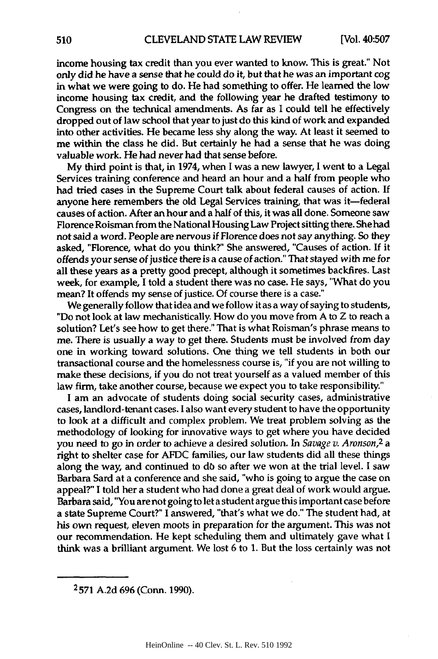income housing tax credit than you ever wanted to know. This is great." Not only did he have a sense that he could do it, but that he was an important cog in what we were going to do. He had something to offer. He learned the low income housing tax credit, and the following year he drafted testimony to Congress on the technical amendments. As far as **I** could tell he effectively dropped out of law school that year to just do this kind of work and expanded into other activities. He became less shy along the way. At least it seemed to me within the class he did. But certainly he had a sense that he was doing valuable work. He had never had that sense before.

**My** third point is that, in 1974, when I was a new lawyer, **I** went to a Legal Services training conference and heard an hour and a half from people who had tried cases in the Supreme Court talk about federal causes of action. **If** anyone here remembers the old Legal Services training, that was it-federal causes of action. After an hour and a half of this, it was all done. Someone saw Florence Roisman from the National Housing Law Project sitting there. She had not said a word. People are nervous if Florence does not say anything. So they asked, "Florence, what do you think?" She answered, "Causes of action. **If** it offends your sense of justice there is a cause of action." That stayed with me for all these years as a pretty good precept, although it sometimes backfires. Last week, for example, **I** told a student there was no case. He says, "What do you mean? It offends my sense of justice. **Of** course there is a case."

We generally follow that idea and we follow it as a way of saying to students, "Do not look at law mechanistically. How do you move from **A** to Z to reach a solution? Let's see how to get there." That is what Roisman's phrase means to me. There is usually a way to get there. Students must be involved from day one in working toward solutions. One thing we tell students in both our transactional course and the homelessness course is, "if you are not willing to make these decisions, if you do not treat yourself as a valued member of this law firm, take another course, because we expect you to take responsibility."

I am an advocate of students doing social security cases, administrative cases, landlord-tenant cases. **I** also want every student to have the opportunity to look at a difficult and complex problem. We treat problem solving as the methodology of looking for innovative ways to get where you have decided you need to go in order to achieve a desired solution. In *Savage v. Aronson,2 a* right to shelter case for **AFDC** families, our law students did all these things along the way, and continued to **db** so after we won at the trial level. I saw Barbara Sard at a conference and she said, "who is going to argue the case on appeal?" **I** told her a student who had done a great deal of work would argue. Barbara said, "You are not going to let a student argue this important case before a state Supreme Court?" **I** answered, "that's what we do." The student had, at his own request, eleven moots in preparation for the argument. This was not our recommendation. He kept scheduling them and ultimately gave what **I** think was a brilliant argument. We lost **6** to **1.** But the loss certainly was not

**<sup>2571</sup> A.2d 696** (Conn. **1990).**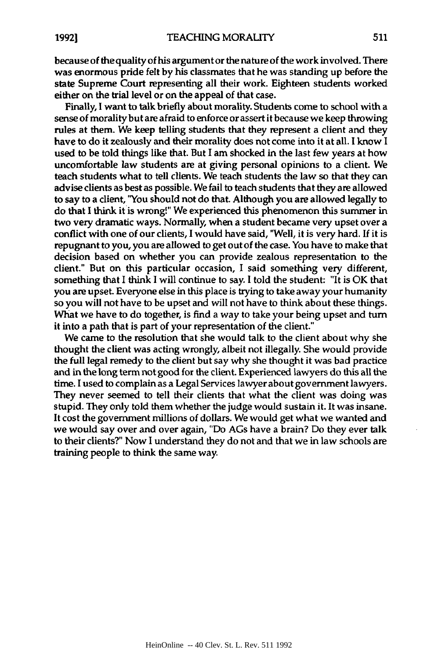because of the quality of his argument or the nature of the work involved. There was enormous pride felt **by** his classmates that he was standing up before the state Supreme Court representing all their work. Eighteen students worked either on the trial level or on the appeal of that case.

Finally, **I** want to talk briefly about morality. Students come to school with a sense of morality but are afraid to enforce or assert it because we keep throwing rules at them. We keep telling students that they represent a client and they have to do it zealously and their morality does not come into it at all. **I** know **I** used to be told things like that. But **I** am shocked in the last few years at how uncomfortable law students are at giving personal opinions to a client. We teach students what to tell clients. We teach students the law so that they can advise clients as best as possible. We fail to teach students that they are allowed to say to a client, "You should not do that. Although you are allowed legally to do that **I** think it is wrong!" We experienced this phenomenon this summer in two very dramatic ways. Normally, when a student became very upset over a conflict with one of our clients, **I** would have said, 'Well, it is very hard. **If** it is repugnant to you, you are allowed to get out of the case. You have to make that decision based on whether you can provide zealous representation to the client." But on this particular occasion, I said something very different, something that **I** think **I** will continue to say. **I** told the student: "It is OK that you are upset. Everyone else in this place is trying to take away your humanity so you will not have to be upset and will not have to think about these things. What we have to do together, is find a way to take your being upset and turn it into a path that is part of your representation of the client."

We came to the resolution that she would talk to the client about why she thought the client was acting wrongly, albeit not illegally. She would provide the full legal remedy to the client but say why she thought it was bad practice and in the long term not good for the client. Experienced lawyers do this all the time. **I** used to complain as a Legal Services lawyer about government lawyers. They never seemed to tell their clients that what the client was doing was stupid. They only told them whether the judge would sustain it. It was insane. It cost the government millions of dollars. We would get what we wanted and we would say over and over again, "Do AGs have a brain? Do they ever talk to their clients?" Now **I** understand they do not and that we in law schools are training people to think the same way.